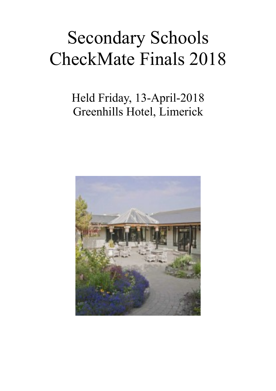# Secondary Schools CheckMate Finals 2018

Held Friday, 13-April-2018 Greenhills Hotel, Limerick

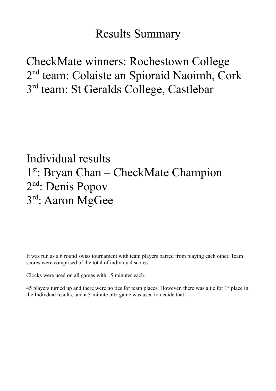# Results Summary

CheckMate winners: Rochestown College 2<sup>nd</sup> team: Colaiste an Spioraid Naoimh, Cork 3<sup>rd</sup> team: St Geralds College, Castlebar

# Individual results 1<sup>st</sup>: Bryan Chan - CheckMate Champion 2<sup>nd</sup>: Denis Popov 3 rd: Aaron MgGee

It was run as a 6 round swiss tournament with team players barred from playing each other. Team scores were comprised of the total of individual scores.

Clocks were used on all games with 15 minutes each.

45 players turned up and there were no ties for team places. However, there was a tie for 1<sup>st</sup> place in the Indivdual results, and a 5-minute bltz game was used to decide that.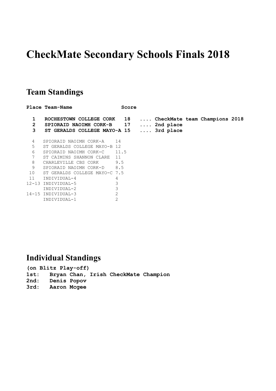## **CheckMate Secondary Schools Finals 2018**

#### **Team Standings**

Place Team-Name Score  **1 ROCHESTOWN COLLEGE CORK 18 .... CheckMate team Champions 2018 2 SPIORAID NAOIMH CORK-B 17 .... 2nd place 3 ST GERALDS COLLEGE MAYO-A 15 .... 3rd place** 4 SPIORAID NAOIMH CORK-A 14 5 ST GERALDS COLLEGE MAYO-B 12 6 SPIORAID NAOIMH CORK-C 11.5 7 ST CAIMINS SHANNON CLARE 11 8 CHARLEVILLE CBS CORK 9.5 9 SPIORAID NAOIMH CORK-D 8.5 10 ST GERALDS COLLEGE MAYO-C 7.5 11 INDIVIDUAL-4 4 12-13 INDIVIDUAL-5 3 INDIVIDUAL-2 3 14-15 INDIVIDUAL-3 2 INDIVIDUAL-1 2

#### **Individual Standings**

**(on Blitz Play-off) 1st: Bryan Chan, Irish CheckMate Champion 2nd: Denis Popov 3rd: Aaron Mcgee**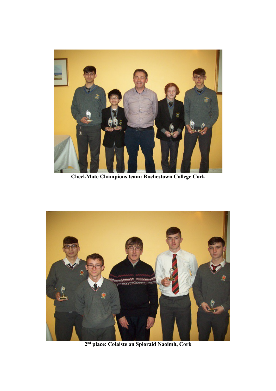

**CheckMate Champions team: Rochestown College Cork**



**2 nd place: Colaiste an Spioraid Naoimh, Cork**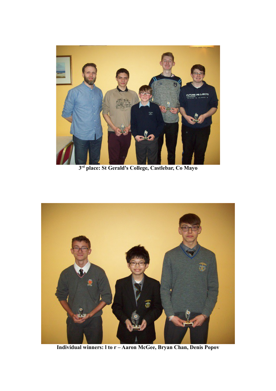

**3 rd place: St Gerald's College, Castlebar, Co Mayo**



**Individual winners: l to r – Aaron McGee, Bryan Chan, Denis Popov**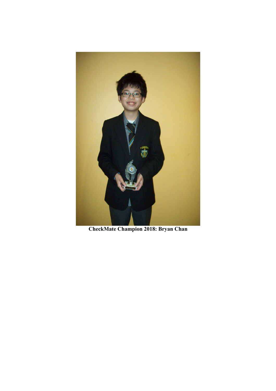

**CheckMate Champion 2018: Bryan Chan**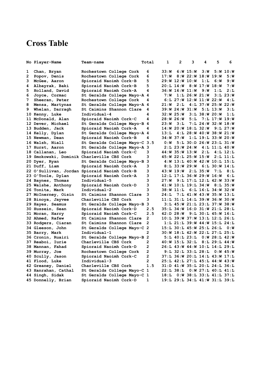## **Cross Table**

|   | No Player-Name      | Team-name                                    | Total          | 1     | $\mathbf{2}$                   | 3                         | 4                             | 5                  | 6            |
|---|---------------------|----------------------------------------------|----------------|-------|--------------------------------|---------------------------|-------------------------------|--------------------|--------------|
| ı | Chan, Bryan         | Rochestown College Cork                      | 6              | 33:W  |                                | $6:W$ 15:W                | 3:W                           |                    | $5:W_10:W_2$ |
| 2 | Popov, Denis        | Rochestown College Cork                      | 6              | 17:W  |                                | $8:W$ 22: W 18: W 19: W   |                               |                    | 5:W          |
| 3 | McGee, Aaron        | Spioraid Naoimh Cork-B                       | 5              |       | 29:W 12:W 10:W                 |                           | $1:\mathbf{L}$                | 6:W                | 9:W          |
| 4 | Albayrak, Baki      | Spioraid Naoimh Cork-B                       | 5              |       | 20: L 14: W                    |                           | $8:W$ 17:W 18:W               |                    | 7 : W        |
| 5 | Holland, David      | Spioraid Naoimh Cork-A                       | 4              |       | 36:W 16:W 11:W                 |                           | 9:W                           | $1:\mathbf{L}$     | 2:L          |
| 6 | Joyce, Cormac       | St Geralds College Mayo-A 4                  |                | 7:W   |                                | $1: L$ 26:W 21:W          |                               |                    | $3:L$ $23:W$ |
| 7 | Sheeran, Peter      | Rochestown College Cork                      | 4              |       | $6: L$ 27:W 12:W 11:W 22:W     |                           |                               |                    | $4:$ L       |
| 8 | Mensa, Martynas     | St Geralds College Mayo-A 4                  |                | 21:W  | 2: L                           |                           | $4: L$ 37:W 25:W 22:W         |                    |              |
| 9 | Whelan, Darragh     | St Caimins Shannon Clare                     | 4              |       | 39:W 24:W 31:W                 |                           |                               | $5:L$ 13:W         | 3:1          |
|   | 10 Kenny, Luke      | Individual-4                                 | 4              |       | 32:W 25:W                      |                           | 3:L 38:W 20:W                 |                    | 1:L          |
|   | 11 McDonald, Alan   | Spioraid Naoimh Cork-C                       | 4              |       | 28:W 26:W                      | 5: L                      |                               | $7: L$ 17:W 19:W   |              |
|   | 12 Dever, Michael   | St Geralds College Mayo-B                    | 4              | 23:W  | 3: L                           |                           | $7: L$ 24: W 32: W 18: W      |                    |              |
|   | 13 Budden, Jack     | Spioraid Naoimh Cork-A                       | 4              |       | $14:W$ 20:W 18:L 32:W          |                           |                               |                    | 9:L 27:W     |
|   | 14 Kelly, Dylan     | St Geralds College Mayo-A 4                  |                | 13: L |                                | 4:L 28:W 40:W 38:W 21:W   |                               |                    |              |
|   | 15 Newman, Dean     | Spioraid Naoimh Cork-B                       | 4              |       | 34:W 37:W                      |                           | $1:L$ 19:L 33:W 20:W          |                    |              |
|   | 16 Walsh, Niall     | St Geralds College Mayo-C 3.5                |                | 0:W   |                                | 5:L 30:D 26:W 23:L 31:W   |                               |                    |              |
|   | 17 Hurst, Aaron     | St Geralds College Mayo-A 3                  |                |       | $2: L$ 23:W 24:W               |                           |                               | $4:L$ 11:L $40:W$  |              |
|   | 18 Callanan, Leo    | Spioraid Naoimh Cork-C                       | з              |       | 44:W 35:W 13:W                 |                           | 2:1                           |                    | $4:L$ 12:L   |
|   |                     | 19 Smokowski, Dominik Charleville CBS Cork   | 3              |       | 45:W 22:L 25:W 15:W            |                           |                               |                    | $2:L$ 11:L   |
|   | 20 Dyer, Ryan       | St Geralds College Mayo-B 3                  |                |       | 4:W 13:L 40:W 42:W 10:L 15:L   |                           |                               |                    |              |
|   | 21 Duff, Liam       | Spioraid Naoimh Cork-A                       | 3              |       | $8: L$ 33: $W$ 29: $W$         |                           |                               | $6: L$ 30:W 14:L   |              |
|   |                     | 22 O'Sullivan, Jordan Spioraid Naoimh Cork-B | 3              |       | $43:W$ 19:W 2:L 35:W           |                           |                               | 7: L               | 8: L         |
|   | 23 O'Toole, Dylan   | Spioraid Naoimh Cork-A                       | 3              |       | 12:L 17:L 36:W 29:W 16:W       |                           |                               |                    | 6:L          |
|   | 24 Baynes, Thomas   | Individual-5                                 | 3              | 27:W  |                                | $9:L$ 17:L 12:L 42:W 33:W |                               |                    |              |
|   | 25 Walshe, Anthony  | Spioraid Naoimh Cork-D                       | 3              |       | 41:W 10:L 19:L 34:W            |                           |                               |                    | 8: L 35: W   |
|   | 26 Tonita, Mark     | Individual-2                                 | 3              |       | 38:W 11:L 6:L 16:L 34:W 32:W   |                           |                               |                    |              |
|   | 27 McInerney, Oisin | St Caimins Shannon Clare                     | 3              |       | 24:L 7:L 41:W 43:W 35:W 13:L   |                           |                               |                    |              |
|   | 28 Binoya, Jayvee   | Charleville CBS Cork                         | 3              |       | 11:L 31:L 14:L 39:W 36:W 30:W  |                           |                               |                    |              |
|   | 29 Hayes, Seamus    | St Geralds College Mayo-B 3                  |                |       | 3:L 45:W 21:L 23:L 37:W 38:W   |                           |                               |                    |              |
|   | 30 Hussein, Sean    | Spioraid Naoimh Cork-D                       | 2.5            |       | 35:L 34:W 16:D 31:W 21:L 28:L  |                           |                               |                    |              |
|   | 31 Moran, Harry     | Spioraid Naoimh Cork-C                       | 2.5            |       | 42: D 28: W                    |                           | $9:L$ 30:L 45:W 16:L          |                    |              |
|   | 32 Ahmed, Rafew     | St Caimins Shannon Clare                     | $\mathbf{2}$   |       | 10:L 39:W 37:W 13:L 12:L 26:L  |                           |                               |                    |              |
|   | 33 Rodgers, Ciaran  | St Caimins Shannon Clare                     | $\overline{2}$ |       | $1:L$ 21:L 39:W 44:W 15:L 24:L |                           |                               |                    |              |
|   | 34 Gleeson, John    | St Geralds College Mayo-C 2                  |                |       | 15:L 30:L 45:W 25:L 26:L       |                           |                               |                    | 0:W          |
|   | 35 Barry, Mark      | Individual-1                                 | $\overline{2}$ |       | 30:W 18:L 42:W 22:L 27:L 25:L  |                           |                               |                    |              |
|   | 36 Cronin, Ruairi   | St Geralds College Mayo-B                    | $\overline{2}$ |       | $5:L$ 40:L 23:L                |                           |                               | $0:W$ 28:L 42:W    |              |
|   | 37 Reaboi, Iurie    | Charleville CBS Cork                         | $\overline{2}$ |       | $40:W$ 15:L 32:L               |                           |                               | $8: L$ 29: L 44: W |              |
|   | 38 Mannan, Fahad    | Spioraid Naoimh Cork-D                       | 2              |       | 26:L 43:W 44:W 10:L 14:L 29:L  |                           |                               |                    |              |
|   | 39 Murray, Joe      | Rochestown College Cork                      | $\overline{2}$ |       | $9:L$ 32:L 33:L 28:L           |                           |                               |                    | $0:W$ 45:W   |
|   | 40 Scully, Jason    | Spioraid Naoimh Cork-C                       | $\mathbf{2}$   |       | 37:L 36:W 20:L 14:L 43:W 17:L  |                           |                               |                    |              |
|   | 41 Flood, Luke      | Individual-3                                 | 2              |       | 25:L 42:L 27:L 45:L 44:W 43:W  |                           |                               |                    |              |
|   | 42 Greaney, Daniel  | Charleville CBS Cork                         | 1.5            |       | 31:D 41:W 35:L 20:L 24:L 36:L  |                           |                               |                    |              |
|   | 43 Hanrahan, Cathal | St Geralds College Mayo-C 1                  |                |       | 22: L 38: L                    |                           | $0:\mathbf{W}$ 27:L 40:L 41:L |                    |              |
|   | 44 Singh, Sidak     | St Geralds College Mayo-C 1                  |                |       | 18:L 0:W 38:L 33:L 41:L 37:L   |                           |                               |                    |              |
|   | 45 Donnelly, Brian  | Spioraid Naoimh Cork-D                       | 1              |       | 19:L 29:L 34:L 41:W 31:L 39:L  |                           |                               |                    |              |
|   |                     |                                              |                |       |                                |                           |                               |                    |              |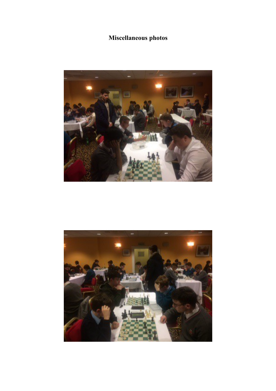### **Miscellaneous photos**



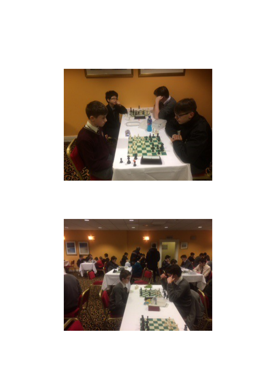

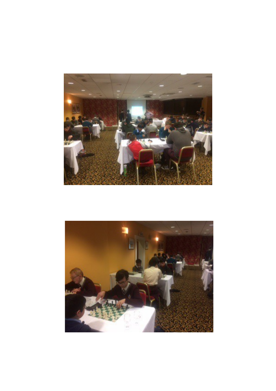